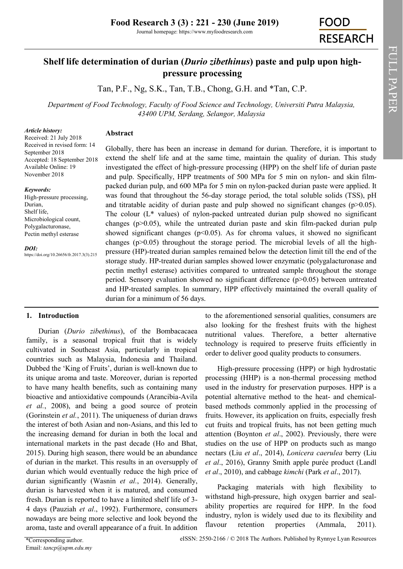Journal homepage: https://www.myfoodresearch.com

# FOOD **RESEARCH**

# **Shelf life determination of durian (***Durio zibethinus***) paste and pulp upon highpressure processing**

Tan, P.F., Ng, S.K., Tan, T.B., Chong, G.H. and \*Tan, C.P.

*Department of Food Technology, Faculty of Food Science and Technology, Universiti Putra Malaysia, 43400 UPM, Serdang, Selangor, Malaysia*

#### *Article history:*

**Abstract**

Received: 21 July 2018 Received in revised form: 14 September 2018 Accepted: 18 September 2018 Available Online: 19 November 2018

#### *Keywords:*

High-pressure processing, Durian, Shelf life, Microbiological count, Polygalacturonase, Pectin methyl esterase

#### *DOI:*

https://doi.org/10.26656/fr.2017.3(3).215

Globally, there has been an increase in demand for durian. Therefore, it is important to extend the shelf life and at the same time, maintain the quality of durian. This study investigated the effect of high-pressure processing (HPP) on the shelf life of durian paste and pulp. Specifically, HPP treatments of 500 MPa for 5 min on nylon- and skin filmpacked durian pulp, and 600 MPa for 5 min on nylon-packed durian paste were applied. It was found that throughout the 56-day storage period, the total soluble solids (TSS), pH and titratable acidity of durian paste and pulp showed no significant changes ( $p>0.05$ ). The colour  $(L^*$  values) of nylon-packed untreated durian pulp showed no significant changes (p>0.05), while the untreated durian paste and skin film-packed durian pulp showed significant changes ( $p<0.05$ ). As for chroma values, it showed no significant changes  $(p>0.05)$  throughout the storage period. The microbial levels of all the highpressure (HP)-treated durian samples remained below the detection limit till the end of the storage study. HP-treated durian samples showed lower enzymatic (polygalacturonase and pectin methyl esterase) activities compared to untreated sample throughout the storage period. Sensory evaluation showed no significant difference (p>0.05) between untreated and HP-treated samples. In summary, HPP effectively maintained the overall quality of durian for a minimum of 56 days.

#### **1. Introduction**

Durian (*Durio zibethinus*), of the Bombacacaea family, is a seasonal tropical fruit that is widely cultivated in Southeast Asia, particularly in tropical countries such as Malaysia, Indonesia and Thailand. Dubbed the 'King of Fruits', durian is well-known due to its unique aroma and taste. Moreover, durian is reported to have many health benefits, such as containing many bioactive and antioxidative compounds (Arancibia-Avila *et al.*, 2008), and being a good source of protein (Gorinstein *et al.*, 2011). The uniqueness of durian draws the interest of both Asian and non-Asians, and this led to the increasing demand for durian in both the local and international markets in the past decade (Ho and Bhat, 2015). During high season, there would be an abundance of durian in the market. This results in an oversupply of durian which would eventually reduce the high price of durian significantly (Wasnin *et al.*, 2014). Generally, durian is harvested when it is matured, and consumed fresh. Durian is reported to have a limited shelf life of 3- 4 days (Pauziah *et al*., 1992). Furthermore, consumers nowadays are being more selective and look beyond the aroma, taste and overall appearance of a fruit. In addition

to the aforementioned sensorial qualities, consumers are also looking for the freshest fruits with the highest nutritional values. Therefore, a better alternative technology is required to preserve fruits efficiently in order to deliver good quality products to consumers.

High-pressure processing (HPP) or high hydrostatic processing (HHP) is a non-thermal processing method used in the industry for preservation purposes. HPP is a potential alternative method to the heat- and chemicalbased methods commonly applied in the processing of fruits. However, its application on fruits, especially fresh cut fruits and tropical fruits, has not been getting much attention (Boynton *et al*., 2002). Previously, there were studies on the use of HPP on products such as mango nectars (Liu *et al*., 2014), *Lonicera caerulea* berry (Liu *et al*., 2016), Granny Smith apple purée product (Landl *et al*., 2010), and cabbage *kimchi* (Park *et al*., 2017).

Packaging materials with high flexibility to withstand high-pressure, high oxygen barrier and sealability properties are required for HPP. In the food industry, nylon is widely used due to its flexibility and flavour retention properties (Ammala, 2011).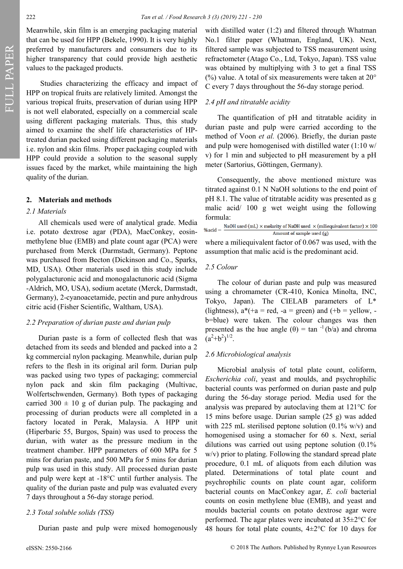Meanwhile, skin film is an emerging packaging material that can be used for HPP (Bekele, 1990). It is very highly preferred by manufacturers and consumers due to its higher transparency that could provide high aesthetic values to the packaged products.

Studies characterizing the efficacy and impact of HPP on tropical fruits are relatively limited. Amongst the various tropical fruits, preservation of durian using HPP is not well elaborated, especially on a commercial scale using different packaging materials. Thus, this study aimed to examine the shelf life characteristics of HPtreated durian packed using different packaging materials i.e. nylon and skin films. Proper packaging coupled with HPP could provide a solution to the seasonal supply issues faced by the market, while maintaining the high quality of the durian.

# **2. Materials and methods**

# *2.1 Materials*

All chemicals used were of analytical grade. Media i.e. potato dextrose agar (PDA), MacConkey, eosinmethylene blue (EMB) and plate count agar (PCA) were purchased from Merck (Darmstadt, Germany). Peptone was purchased from Becton (Dickinson and Co., Sparks, MD, USA). Other materials used in this study include polygalacturonic acid and monogalactunoric acid (Sigma -Aldrich, MO, USA), sodium acetate (Merck, Darmstadt, Germany), 2-cyanoacetamide, pectin and pure anhydrous citric acid (Fisher Scientific, Waltham, USA).

# *2.2 Preparation of durian paste and durian pulp*

Durian paste is a form of collected flesh that was detached from its seeds and blended and packed into a 2 kg commercial nylon packaging. Meanwhile, durian pulp refers to the flesh in its original aril form. Durian pulp was packed using two types of packaging; commercial nylon pack and skin film packaging (Multivac, Wolfertschwenden, Germany)*.* Both types of packaging carried  $300 \pm 10$  g of durian pulp. The packaging and processing of durian products were all completed in a factory located in Perak, Malaysia. A HPP unit (Hiperbaric 55, Burgos, Spain) was used to process the durian, with water as the pressure medium in the treatment chamber. HPP parameters of 600 MPa for 5 mins for durian paste, and 500 MPa for 5 mins for durian pulp was used in this study. All processed durian paste and pulp were kept at -18°C until further analysis. The quality of the durian paste and pulp was evaluated every 7 days throughout a 56-day storage period.

# *2.3 Total soluble solids (TSS)*

Durian paste and pulp were mixed homogenously

with distilled water (1:2) and filtered through Whatman No.1 filter paper (Whatman, England, UK). Next, filtered sample was subjected to TSS measurement using refractometer (Atago Co., Ltd, Tokyo, Japan). TSS value was obtained by multiplying with 3 to get a final TSS (%) value. A total of six measurements were taken at  $20^{\circ}$ C every 7 days throughout the 56-day storage period.

# *2.4 pH and titratable acidity*

The quantification of pH and titratable acidity in durian paste and pulp were carried according to the method of Voon *et al.* (2006). Briefly, the durian paste and pulp were homogenised with distilled water (1:10 w/ v) for 1 min and subjected to pH measurement by a pH meter (Sartorius, Göttingen, Germany).

Consequently, the above mentioned mixture was titrated against 0.1 N NaOH solutions to the end point of pH 8.1. The value of titratable acidity was presented as g malic acid/ 100 g wet weight using the following formula:

NaOH used (mL)  $\times$  molarity of NaOH used  $\times$  (miliequivalent factor)  $\times$  100  $%acid =$ Amount of sample used (g)

where a miliequivalent factor of 0.067 was used, with the assumption that malic acid is the predominant acid.

# *2.5 Colour*

The colour of durian paste and pulp was measured using a chromameter (CR-410, Konica Minolta, INC, Tokyo, Japan). The CIELAB parameters of L\* (lightness),  $a^*(+a = red, -a = green)$  and  $(+b = yellow, -b)$ b=blue) were taken. The colour changes was then presented as the hue angle  $(\theta) = \tan^{-1}(b/a)$  and chroma  $(a^2+b^2)^{1/2}$ .

# *2.6 Microbiological analysis*

Microbial analysis of total plate count, coliform, *Escherichia coli*, yeast and moulds, and psychrophilic bacterial counts was performed on durian paste and pulp during the 56-day storage period. Media used for the analysis was prepared by autoclaving them at 121°C for 15 mins before usage. Durian sample (25 g) was added with 225 mL sterilised peptone solution  $(0.1\%$  w/v) and homogenised using a stomacher for 60 s. Next, serial dilutions was carried out using peptone solution (0.1% w/v) prior to plating. Following the standard spread plate procedure, 0.1 mL of aliquots from each dilution was plated. Determinations of total plate count and psychrophilic counts on plate count agar, coliform bacterial counts on MacConkey agar, *E. coli* bacterial counts on eosin methylene blue (EMB), and yeast and moulds bacterial counts on potato dextrose agar were performed. The agar plates were incubated at 35±2°C for 48 hours for total plate counts,  $4\pm2^{\circ}$ C for 10 days for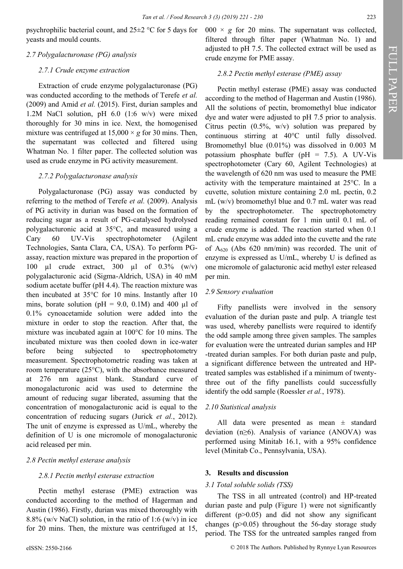psychrophilic bacterial count, and 25±2 °C for 5 days for yeasts and mould counts.

## *2.7 Polygalacturonase (PG) analysis*

## *2.7.1 Crude enzyme extraction*

Extraction of crude enzyme polygalacturonase (PG) was conducted according to the methods of Terefe *et al.* (2009) and Amid *et al.* (2015). First, durian samples and 1.2M NaCl solution, pH 6.0 (1:6 w/v) were mixed thoroughly for 30 mins in ice. Next, the homogenised mixture was centrifuged at  $15,000 \times g$  for 30 mins. Then, the supernatant was collected and filtered using Whatman No. 1 filter paper. The collected solution was used as crude enzyme in PG activity measurement.

# *2.7.2 Polygalacturonase analysis*

Polygalacturonase (PG) assay was conducted by referring to the method of Terefe *et al.* (2009). Analysis of PG activity in durian was based on the formation of reducing sugar as a result of PG-catalysed hydrolysed polygalacturonic acid at 35°C, and measured using a Cary 60 UV-Vis spectrophotometer (Agilent Technologies, Santa Clara, CA, USA). To perform PGassay, reaction mixture was prepared in the proportion of 100 µl crude extract, 300 µl of 0.3% (w/v) polygalacturonic acid (Sigma-Aldrich, USA) in 40 mM sodium acetate buffer (pH 4.4). The reaction mixture was then incubated at 35°C for 10 mins. Instantly after 10 mins, borate solution ( $pH = 9.0$ , 0.1M) and 400 µl of 0.1% cynoacetamide solution were added into the mixture in order to stop the reaction. After that, the mixture was incubated again at 100°C for 10 mins. The incubated mixture was then cooled down in ice-water before being subjected to spectrophotometry measurement. Spectrophotometric reading was taken at room temperature (25°C), with the absorbance measured at 276 nm against blank. Standard curve of monogalacturonic acid was used to determine the amount of reducing sugar liberated, assuming that the concentration of monogalacturonic acid is equal to the concentration of reducing sugars (Jurick *et al.*, 2012). The unit of enzyme is expressed as U/mL, whereby the definition of U is one micromole of monogalacturonic acid released per min.

#### *2.8 Pectin methyl esterase analysis*

# *2.8.1 Pectin methyl esterase extraction*

Pectin methyl esterase (PME) extraction was conducted according to the method of Hagerman and Austin (1986). Firstly, durian was mixed thoroughly with 8.8% (w/v NaCl) solution, in the ratio of 1:6 (w/v) in ice for 20 mins. Then, the mixture was centrifuged at 15,

 $000 \times g$  for 20 mins. The supernatant was collected, filtered through filter paper (Whatman No. 1) and adjusted to pH 7.5. The collected extract will be used as crude enzyme for PME assay.

#### *2.8.2 Pectin methyl esterase (PME) assay*

Pectin methyl esterase (PME) assay was conducted according to the method of Hagerman and Austin (1986). All the solutions of pectin, bromomethyl blue indicator dye and water were adjusted to pH 7.5 prior to analysis. Citrus pectin  $(0.5\%, w/v)$  solution was prepared by continuous stirring at 40°C until fully dissolved. Bromomethyl blue (0.01%) was dissolved in 0.003 M potassium phosphate buffer (pH = 7.5). A UV-Vis spectrophotometer (Cary 60, Agilent Technologies) at the wavelength of 620 nm was used to measure the PME activity with the temperature maintained at 25°C. In a cuvette, solution mixture containing 2.0 mL pectin, 0.2 mL (w/v) bromomethyl blue and 0.7 mL water was read by the spectrophotometer. The spectrophotometry reading remained constant for 1 min until 0.1 mL of crude enzyme is added. The reaction started when 0.1 mL crude enzyme was added into the cuvette and the rate of  $A_{620}$  (Abs 620 nm/min) was recorded. The unit of enzyme is expressed as U/mL, whereby U is defined as one micromole of galacturonic acid methyl ester released per min.

## *2.9 Sensory evaluation*

Fifty panellists were involved in the sensory evaluation of the durian paste and pulp. A triangle test was used, whereby panellists were required to identify the odd sample among three given samples. The samples for evaluation were the untreated durian samples and HP -treated durian samples. For both durian paste and pulp, a significant difference between the untreated and HPtreated samples was established if a minimum of twentythree out of the fifty panellists could successfully identify the odd sample (Roessler *et al.*, 1978).

#### *2.10 Statistical analysis*

All data were presented as mean  $\pm$  standard deviation (n≥6). Analysis of variance (ANOVA) was performed using Minitab 16.1, with a 95% confidence level (Minitab Co., Pennsylvania, USA).

#### **3. Results and discussion**

#### *3.1 Total soluble solids (TSS)*

The TSS in all untreated (control) and HP-treated durian paste and pulp (Figure 1) were not significantly different  $(p>0.05)$  and did not show any significant changes  $(p>0.05)$  throughout the 56-day storage study period. The TSS for the untreated samples ranged from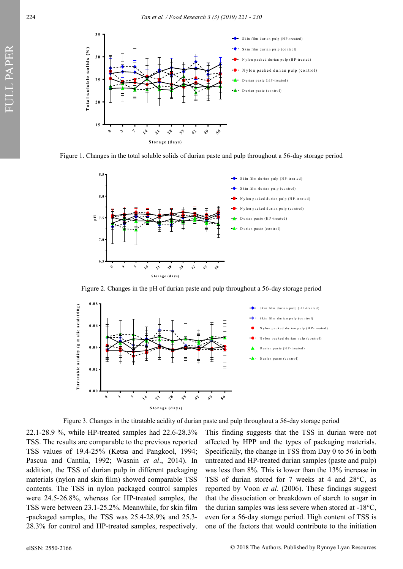

Figure 1. Changes in the total soluble solids of durian paste and pulp throughout a 56-day storage period



Figure 2. Changes in the pH of durian paste and pulp throughout a 56-day storage period



Figure 3. Changes in the titratable acidity of durian paste and pulp throughout a 56-day storage period

22.1-28.9 %, while HP-treated samples had 22.6-28.3% TSS. The results are comparable to the previous reported TSS values of 19.4-25% (Ketsa and Pangkool, 1994; Pascua and Cantila, 1992; Wasnin *et al*., 2014). In addition, the TSS of durian pulp in different packaging materials (nylon and skin film) showed comparable TSS contents. The TSS in nylon packaged control samples were 24.5-26.8%, whereas for HP-treated samples, the TSS were between 23.1-25.2%. Meanwhile, for skin film -packaged samples, the TSS was 25.4-28.9% and 25.3- 28.3% for control and HP-treated samples, respectively.

This finding suggests that the TSS in durian were not affected by HPP and the types of packaging materials. Specifically, the change in TSS from Day 0 to 56 in both untreated and HP-treated durian samples (paste and pulp) was less than 8%. This is lower than the 13% increase in TSS of durian stored for 7 weeks at 4 and 28°C, as reported by Voon *et al*. (2006). These findings suggest that the dissociation or breakdown of starch to sugar in the durian samples was less severe when stored at -18°C, even for a 56-day storage period. High content of TSS is one of the factors that would contribute to the initiation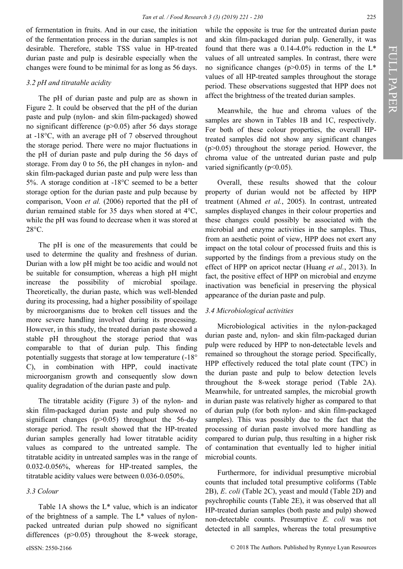of fermentation in fruits. And in our case, the initiation of the fermentation process in the durian samples is not desirable. Therefore, stable TSS value in HP-treated durian paste and pulp is desirable especially when the changes were found to be minimal for as long as 56 days.

## *3.2 pH and titratable acidity*

The pH of durian paste and pulp are as shown in Figure 2. It could be observed that the pH of the durian paste and pulp (nylon- and skin film-packaged) showed no significant difference (p>0.05) after 56 days storage at -18°C, with an average pH of 7 observed throughout the storage period. There were no major fluctuations in the pH of durian paste and pulp during the 56 days of storage. From day 0 to 56, the pH changes in nylon- and skin film-packaged durian paste and pulp were less than 5%. A storage condition at -18°C seemed to be a better storage option for the durian paste and pulp because by comparison, Voon *et al.* (2006) reported that the pH of durian remained stable for 35 days when stored at 4°C, while the pH was found to decrease when it was stored at 28°C.

The pH is one of the measurements that could be used to determine the quality and freshness of durian. Durian with a low pH might be too acidic and would not be suitable for consumption, whereas a high pH might increase the possibility of microbial spoilage. Theoretically, the durian paste, which was well-blended during its processing, had a higher possibility of spoilage by microorganisms due to broken cell tissues and the more severe handling involved during its processing. However, in this study, the treated durian paste showed a stable pH throughout the storage period that was comparable to that of durian pulp. This finding potentially suggests that storage at low temperature (-18° C), in combination with HPP, could inactivate microorganism growth and consequently slow down quality degradation of the durian paste and pulp.

The titratable acidity (Figure 3) of the nylon- and skin film-packaged durian paste and pulp showed no significant changes (p>0.05) throughout the 56-day storage period. The result showed that the HP-treated durian samples generally had lower titratable acidity values as compared to the untreated sample. The titratable acidity in untreated samples was in the range of 0.032-0.056%, whereas for HP-treated samples, the titratable acidity values were between 0.036-0.050%.

# *3.3 Colour*

Table 1A shows the L\* value, which is an indicator of the brightness of a sample. The L\* values of nylonpacked untreated durian pulp showed no significant differences (p>0.05) throughout the 8-week storage,

while the opposite is true for the untreated durian paste and skin film-packaged durian pulp. Generally, it was found that there was a  $0.14-4.0\%$  reduction in the L<sup>\*</sup> values of all untreated samples. In contrast, there were no significance changes ( $p > 0.05$ ) in terms of the  $L^*$ values of all HP-treated samples throughout the storage period. These observations suggested that HPP does not affect the brightness of the treated durian samples.

Meanwhile, the hue and chroma values of the samples are shown in Tables 1B and 1C, respectively. For both of these colour properties, the overall HPtreated samples did not show any significant changes  $(p>0.05)$  throughout the storage period. However, the chroma value of the untreated durian paste and pulp varied significantly ( $p<0.05$ ).

Overall, these results showed that the colour property of durian would not be affected by HPP treatment (Ahmed *et al.*, 2005). In contrast, untreated samples displayed changes in their colour properties and these changes could possibly be associated with the microbial and enzyme activities in the samples. Thus, from an aesthetic point of view, HPP does not exert any impact on the total colour of processed fruits and this is supported by the findings from a previous study on the effect of HPP on apricot nectar (Huang *et al.*, 2013). In fact, the positive effect of HPP on microbial and enzyme inactivation was beneficial in preserving the physical appearance of the durian paste and pulp.

#### *3.4 Microbiological activities*

Microbiological activities in the nylon-packaged durian paste and, nylon- and skin film-packaged durian pulp were reduced by HPP to non-detectable levels and remained so throughout the storage period. Specifically, HPP effectively reduced the total plate count (TPC) in the durian paste and pulp to below detection levels throughout the 8-week storage period (Table 2A). Meanwhile, for untreated samples, the microbial growth in durian paste was relatively higher as compared to that of durian pulp (for both nylon- and skin film-packaged samples). This was possibly due to the fact that the processing of durian paste involved more handling as compared to durian pulp, thus resulting in a higher risk of contamination that eventually led to higher initial microbial counts.

Furthermore, for individual presumptive microbial counts that included total presumptive coliforms (Table 2B), *E*. *coli* (Table 2C), yeast and mould (Table 2D) and psychrophilic counts (Table 2E), it was observed that all HP-treated durian samples (both paste and pulp) showed non-detectable counts. Presumptive *E. coli* was not detected in all samples, whereas the total presumptive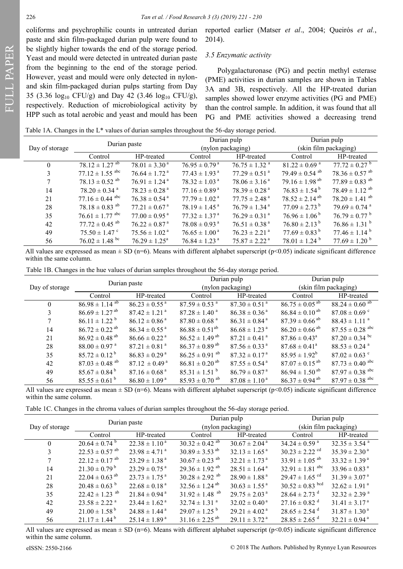FULL PAPER

coliforms and psychrophilic counts in untreated durian paste and skin film-packaged durian pulp were found to be slightly higher towards the end of the storage period. Yeast and mould were detected in untreated durian paste from the beginning to the end of the storage period. However, yeast and mould were only detected in nylonand skin film-packaged durian pulps starting from Day 35 (3.36  $log_{10}$  CFU/g) and Day 42 (3.46  $log_{10}$  CFU/g), respectively. Reduction of microbiological activity by HPP such as total aerobic and yeast and mould has been

reported earlier (Matser *et al*., 2004; Queirós *et al.*, 2014).

#### *3.5 Enzymatic activity*

Polygalacturonase (PG) and pectin methyl esterase (PME) activities in durian samples are shown in Tables 3A and 3B, respectively. All the HP-treated durian samples showed lower enzyme activities (PG and PME) than the control sample. In addition, it was found that all PG and PME activities showed a decreasing trend

Table 1A. Changes in the L\* values of durian samples throughout the 56-day storage period.

|                | Durian paste                   |                               |                               | Durian pulp                   |                                | Durian pulp                    |  |
|----------------|--------------------------------|-------------------------------|-------------------------------|-------------------------------|--------------------------------|--------------------------------|--|
| Day of storage |                                |                               |                               | (nylon packaging)             | (skin film packaging)          |                                |  |
|                | Control                        | HP-treated                    | Control                       | HP-treated                    | Control                        | HP-treated                     |  |
| $\theta$       | $78.12 \pm 1.27$ <sup>ab</sup> | $78.01 \pm 3.30^{\text{ a}}$  | $76.95 \pm 0.79$ <sup>a</sup> | $76.75 \pm 1.32$ <sup>a</sup> | $81.22 \pm 0.69$ <sup>a</sup>  | $77.72 \pm 0.27$ <sup>b</sup>  |  |
| 3              | $77.12 \pm 1.55$ abc           | $76.64 \pm 1.72$ <sup>a</sup> | $77.43 \pm 1.93$ <sup>a</sup> | $77.29 \pm 0.51$ <sup>a</sup> | $79.49 \pm 0.54$ <sup>ab</sup> | $78.36 \pm 0.57$ <sup>ab</sup> |  |
| 7              | $78.13 \pm 0.52$ <sup>ab</sup> | $76.91 \pm 1.24$ <sup>a</sup> | $78.32 \pm 1.03$ <sup>a</sup> | $78.06 \pm 3.16^{\text{ a}}$  | $79.16 \pm 1.98$ <sup>ab</sup> | $77.89 \pm 0.83$ <sup>ab</sup> |  |
| 14             | $78.20 \pm 0.34$ <sup>a</sup>  | $78.23 \pm 0.28$ <sup>a</sup> | $77.16 \pm 0.89^{\text{ a}}$  | $78.39 \pm 0.28$ <sup>a</sup> | $76.83 \pm 1.54^{\mathrm{b}}$  | $78.49 \pm 1.12$ <sup>ab</sup> |  |
| 21             | $77.16 \pm 0.44$ abc           | $76.38 \pm 0.54$ <sup>a</sup> | $77.79 \pm 1.02$ <sup>a</sup> | $77.75 \pm 2.48$ <sup>a</sup> | $78.52 \pm 2.14^{ab}$          | $78.20 \pm 1.41$ <sup>ab</sup> |  |
| 28             | $78.18 \pm 0.83$ <sup>ab</sup> | $77.21 \pm 0.67$ <sup>a</sup> | $78.19 \pm 1.45$ <sup>a</sup> | $76.79 \pm 1.34$ <sup>a</sup> | $77.09 \pm 2.73^{\mathrm{b}}$  | $79.69 \pm 0.74$ <sup>a</sup>  |  |
| 35             | $76.61 \pm 1.77$ abc           | $77.00 \pm 0.95$ <sup>a</sup> | $77.32 \pm 1.37$ <sup>a</sup> | $76.29 \pm 0.31$ <sup>a</sup> | $76.96 \pm 1.06^{\mathrm{b}}$  | $76.79 \pm 0.77^{\circ}$       |  |
| 42             | $77.72 \pm 0.45$ <sup>ab</sup> | $76.22 \pm 0.87$ <sup>a</sup> | $78.08 \pm 0.93$ <sup>a</sup> | $76.51 \pm 0.38$ <sup>a</sup> | $76.80 \pm 2.13^{\mathrm{b}}$  | $76.86 \pm 1.31$ <sup>b</sup>  |  |
| 49             | $75.50 \pm 1.47$ °             | $75.56 \pm 1.02^{\text{ a}}$  | $76.65 \pm 1.00^{\text{ a}}$  | $76.23 \pm 2.21$ <sup>a</sup> | $77.69 \pm 0.83^{\mathrm{b}}$  | $77.46 \pm 1.14^{\text{b}}$    |  |
| 56             | $76.02 \pm 1.48$ bc            | $76.29 \pm 1.25^{\circ}$      | $76.84 \pm 1.23$ <sup>a</sup> | $75.87 \pm 2.22$ <sup>a</sup> | $78.01 \pm 1.24$ <sup>b</sup>  | $77.69 \pm 1.20^{\circ}$       |  |

All values are expressed as mean  $\pm$  SD (n=6). Means with different alphabet superscript (p<0.05) indicate significant difference within the same column.

Table 1B. Changes in the hue values of durian samples throughout the 56-day storage period.

|                | Durian paste                   |                               | Durian pulp                    |                               | Durian pulp                    |                                 |  |
|----------------|--------------------------------|-------------------------------|--------------------------------|-------------------------------|--------------------------------|---------------------------------|--|
| Day of storage |                                |                               |                                | (nylon packaging)             |                                | (skin film packaging)           |  |
|                | Control                        | HP-treated                    | Control                        | HP-treated                    | Control                        | HP-treated                      |  |
| $\theta$       | $86.98 \pm 1.14$ <sup>ab</sup> | $86.23 \pm 0.55^{\text{a}}$   | $87.59 \pm 0.53$ <sup>a</sup>  | $87.30 \pm 0.51$ <sup>a</sup> | $86.75 \pm 0.05$ <sup>ab</sup> | $88.24 \pm 0.60$ <sup>ab</sup>  |  |
| 3              | $86.69 \pm 1.27$ <sup>ab</sup> | $87.42 \pm 1.21$ <sup>a</sup> | $87.28 \pm 1.40$ <sup>a</sup>  | $86.38 \pm 0.36^{\text{ a}}$  | $86.84 \pm 0.10^{ab}$          | $87.08 \pm 0.69$ c              |  |
| 7              | $86.11 \pm 1.22$ <sup>b</sup>  | $86.12 \pm 0.86^{\text{a}}$   | $87.80 \pm 0.68$ <sup>a</sup>  | $86.31 \pm 0.84$ <sup>a</sup> | $87.39 \pm 0.66$ <sup>ab</sup> | $88.43 \pm 1.11$ <sup>a</sup>   |  |
| 14             | $86.72 \pm 0.22$ <sup>ab</sup> | $86.34 \pm 0.55$ <sup>a</sup> | $86.88 \pm 0.51^{ab}$          | $86.68 \pm 1.23$ <sup>a</sup> | $86.20 \pm 0.66$ <sup>ab</sup> | $87.55 \pm 0.28$ abc            |  |
| 21             | $86.92 \pm 0.48$ <sup>ab</sup> | $86.66 \pm 0.22$ <sup>a</sup> | $86.52 \pm 1.49$ <sup>ab</sup> | $87.21 \pm 0.41$ <sup>a</sup> | $87.86 \pm 0.43^{\circ}$       | $87.20 \pm 0.34$ bc             |  |
| 28             | $88.00 \pm 0.97$ <sup>a</sup>  | $87.21 \pm 0.81$ <sup>a</sup> | $86.37 \pm 0.89$ <sup>ab</sup> | $87.56 \pm 0.33$ <sup>a</sup> | $87.68 \pm 0.41^{\circ}$       | $88.53 \pm 0.24$ <sup>a</sup>   |  |
| 35             | $85.72 \pm 0.12^{\mathrm{b}}$  | $86.83 \pm 0.29^{\text{a}}$   | $86.25 \pm 0.91$ <sup>ab</sup> | $87.32 \pm 0.17^{\text{a}}$   | $85.95 \pm 1.92^b$             | $87.02 \pm 0.63$ °              |  |
| 42             | $87.03 \pm 0.48$ <sup>ab</sup> | $87.12 \pm 0.49^{\text{a}}$   | $86.81 \pm 0.20$ <sup>ab</sup> | $87.55 \pm 0.54$ <sup>a</sup> | $87.07 \pm 0.15$ <sup>ab</sup> | $87.73 \pm 0.40$ abc            |  |
| 49             | $85.67 \pm 0.84^{\mathrm{b}}$  | $87.16 \pm 0.68$ <sup>a</sup> | $85.31 \pm 1.51$ <sup>b</sup>  | $86.79 \pm 0.87$ <sup>a</sup> | $86.94 \pm 1.50$ <sup>ab</sup> | $87.97 \pm 0.38$ <sup>abc</sup> |  |
| 56             | $85.55 \pm 0.61^{\mathrm{b}}$  | $86.80 \pm 1.09^{\text{a}}$   | $85.93 \pm 0.70$ <sup>ab</sup> | $87.08 \pm 1.10^{\text{a}}$   | $86.37 \pm 0.94$ <sup>ab</sup> | $87.97 \pm 0.38$ <sup>abc</sup> |  |

All values are expressed as mean  $\pm$  SD (n=6). Means with different alphabet superscript (p<0.05) indicate significant difference within the same column.

Table 1C. Changes in the chroma values of durian samples throughout the 56-day storage period.

|                | Durian paste                   |                               |                                | Durian pulp                   |                                | Durian pulp                   |  |
|----------------|--------------------------------|-------------------------------|--------------------------------|-------------------------------|--------------------------------|-------------------------------|--|
| Day of storage |                                |                               |                                | (nylon packaging)             | (skin film packaging)          |                               |  |
|                | Control                        | HP-treated                    | Control                        | HP-treated                    | Control                        | HP-treated                    |  |
| $\Omega$       | $20.64 \pm 0.74$ <sup>b</sup>  | $22.38 \pm 1.10^{\text{a}}$   | $30.32 \pm 0.42$ <sup>ab</sup> | $30.67 \pm 2.04^{\text{ a}}$  | $34.24 \pm 0.59$ <sup>a</sup>  | $32.35 \pm 3.54$ <sup>a</sup> |  |
| 3              | $22.53 \pm 0.57$ <sup>ab</sup> | $23.98 \pm 4.71$ <sup>a</sup> | $30.89 \pm 3.53$ <sup>ab</sup> | $32.13 \pm 1.65^{\text{a}}$   | $30.23 \pm 2.22$ <sup>cd</sup> | $35.39 \pm 2.30^{\text{ a}}$  |  |
|                | $22.12 \pm 0.17$ <sup>ab</sup> | $23.29 \pm 1.38$ <sup>a</sup> | $30.67 \pm 0.23$ <sup>ab</sup> | $32.21 \pm 1.73$ <sup>a</sup> | $33.91 \pm 1.05$ <sup>ab</sup> | $33.32 \pm 1.39^{\text{a}}$   |  |
| 14             | $21.30 \pm 0.79^{\mathrm{b}}$  | $23.29 \pm 0.75$ <sup>a</sup> | $29.36 \pm 1.92$ <sup>ab</sup> | $28.51 \pm 1.64$ <sup>a</sup> | $32.91 \pm 1.81$ abc           | $33.96 \pm 0.83$ <sup>a</sup> |  |
| 21             | $22.04 \pm 0.63$ <sup>ab</sup> | $23.73 \pm 1.75^{\text{a}}$   | $30.28 \pm 2.92$ <sup>ab</sup> | $28.90 \pm 1.88$ <sup>a</sup> | $29.47 \pm 1.65$ <sup>cd</sup> | $31.39 \pm 3.07^{\text{ a}}$  |  |
| 28             | $20.48 \pm 0.63$ <sup>b</sup>  | $22.68 \pm 0.18$ <sup>a</sup> | $32.56 \pm 1.24$ <sup>ab</sup> | $30.63 \pm 1.55$ <sup>a</sup> | $30.52 \pm 0.83$ bcd           | $32.62 \pm 1.91$ <sup>a</sup> |  |
| 35             | $22.42 \pm 1.23$ <sup>ab</sup> | $21.84 \pm 0.94$ <sup>a</sup> | $31.92 \pm 1.48$ <sup>ab</sup> | $29.75 \pm 2.03$ <sup>a</sup> | $28.64 \pm 2.73$ <sup>d</sup>  | $32.32 \pm 2.39$ <sup>a</sup> |  |
| 42             | $23.58 \pm 2.22$ <sup>a</sup>  | $23.44 \pm 1.62$ <sup>a</sup> | $32.74 \pm 1.31$ <sup>a</sup>  | $32.02 \pm 0.40^{\text{ a}}$  | $27.16 \pm 0.82$ <sup>d</sup>  | $31.41 \pm 3.17^{\text{a}}$   |  |
| 49             | $21.00 \pm 1.58^{\mathrm{b}}$  | $24.88 \pm 1.44$ <sup>a</sup> | $29.07 \pm 1.25$ <sup>b</sup>  | $29.21 \pm 4.02^{\text{a}}$   | $28.65 \pm 2.54$ <sup>d</sup>  | $31.87 \pm 1.30^{\text{ a}}$  |  |
| 56             | $21.17 \pm 1.44^{\mathrm{b}}$  | $25.14 \pm 1.89^{\text{a}}$   | $31.16 \pm 2.25$ <sup>ab</sup> | $29.11 \pm 3.72$ <sup>a</sup> | $28.85 \pm 2.65$ <sup>d</sup>  | $32.21 \pm 0.94$ <sup>a</sup> |  |

All values are expressed as mean  $\pm$  SD (n=6). Means with different alphabet superscript (p<0.05) indicate significant difference within the same column.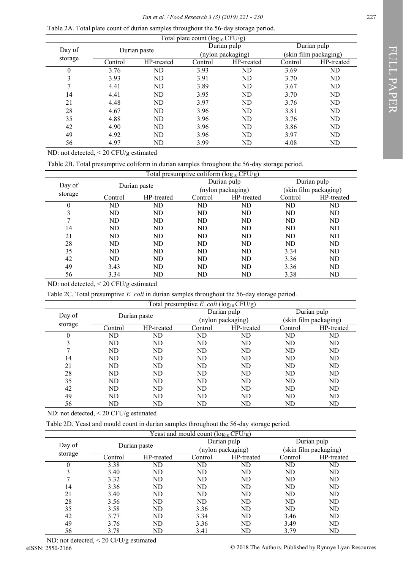Table 2A. Total plate count of durian samples throughout the 56-day storage period.

|          |              |            | Total plate count $(\log_{10} CFU/g)$ |                   |         |                       |
|----------|--------------|------------|---------------------------------------|-------------------|---------|-----------------------|
| Day of   | Durian paste |            |                                       | Durian pulp       |         | Durian pulp           |
|          |              |            |                                       | (nylon packaging) |         | (skin film packaging) |
| storage  | Control      | HP-treated | Control                               | HP-treated        | Control | HP-treated            |
| $\theta$ | 3.76         | ND         | 3.93                                  | ND                | 3.69    | ND                    |
| 3        | 3.93         | ND         | 3.91                                  | ND                | 3.70    | ND                    |
|          | 4.41         | ND         | 3.89                                  | ND                | 3.67    | ND                    |
| 14       | 4.41         | ND         | 3.95                                  | ND                | 3.70    | ND                    |
| 21       | 4.48         | ND         | 3.97                                  | ND                | 3.76    | ND                    |
| 28       | 4.67         | ND         | 3.96                                  | ND                | 3.81    | ND                    |
| 35       | 4.88         | ND         | 3.96                                  | ND                | 3.76    | ND                    |
| 42       | 4.90         | ND         | 3.96                                  | ND                | 3.86    | ND                    |
| 49       | 4.92         | ND         | 3.96                                  | ND                | 3.97    | ND                    |
| 56       | 4.97         | ND         | 3.99                                  | ND                | 4.08    | ND                    |

ND: not detected, < 20 CFU/g estimated

Table 2B. Total presumptive coliform in durian samples throughout the 56-day storage period.

| Total presumptive coliform $(\log_{10} CFU/g)$ |         |              |         |                   |             |                       |  |  |
|------------------------------------------------|---------|--------------|---------|-------------------|-------------|-----------------------|--|--|
| Day of                                         |         |              |         | Durian pulp       | Durian pulp |                       |  |  |
|                                                |         | Durian paste |         | (nylon packaging) |             | (skin film packaging) |  |  |
| storage                                        | Control | HP-treated   | Control | HP-treated        | Control     | HP-treated            |  |  |
|                                                | ND      | ND           | ND      | N <sub>D</sub>    | ND          | ND                    |  |  |
| 3                                              | ND      | ND           | ND      | N <sub>D</sub>    | ND          | ND                    |  |  |
|                                                | ND      | ND           | ND      | N <sub>D</sub>    | ND          | ND                    |  |  |
| 14                                             | ND      | ND           | ND      | N <sub>D</sub>    | ND          | ND                    |  |  |
| 21                                             | ND      | ND           | ND      | N <sub>D</sub>    | ND          | ND                    |  |  |
| 28                                             | ND      | ND           | ND      | N <sub>D</sub>    | ND          | ND                    |  |  |
| 35                                             | ND      | ND           | ND      | N <sub>D</sub>    | 3.34        | ND                    |  |  |
| 42                                             | ND      | ND           | ND      | N <sub>D</sub>    | 3.36        | ND                    |  |  |
| 49                                             | 3.43    | ND           | ND      | N <sub>D</sub>    | 3.36        | ND                    |  |  |
| 56                                             | 3.34    | ND           | ND      | ND                | 3.38        | ND                    |  |  |

ND: not detected, < 20 CFU/g estimated

Table 2C. Total presumptive *E. coli* in durian samples throughout the 56-day storage period.

| Total presumptive E. coli ( $log_{10}$ CFU/g) |              |            |         |                   |                |                       |  |
|-----------------------------------------------|--------------|------------|---------|-------------------|----------------|-----------------------|--|
| Day of                                        | Durian paste |            |         | Durian pulp       | Durian pulp    |                       |  |
|                                               |              |            |         | (nylon packaging) |                | (skin film packaging) |  |
| storage                                       | Control      | HP-treated | Control | HP-treated        | Control        | HP-treated            |  |
| 0                                             | ND           | ND         | ND      | ND                | ND             | ND                    |  |
| 3                                             | ND           | ND         | ND      | ND                | ND             | ND                    |  |
|                                               | ND           | ND         | ND      | ND                | ND             | ND                    |  |
| 14                                            | ND           | ND         | ND      | ND                | ND             | ND                    |  |
| 21                                            | ND           | ND         | ND      | ND                | N <sub>D</sub> | ND                    |  |
| 28                                            | ND           | ND         | ND      | ND                | ND             | ND                    |  |
| 35                                            | ND           | ND         | ND      | ND                | ND             | ND                    |  |
| 42                                            | ND           | ND         | ND      | N <sub>D</sub>    | N <sub>D</sub> | ND                    |  |
| 49                                            | ND           | ND         | ND      | ND.               | ND.            | ND                    |  |
| 56                                            | ND           | ND         | ND      | ND                | ND             | ND                    |  |

ND: not detected, < 20 CFU/g estimated

Table 2D. Yeast and mould count in durian samples throughout the 56-day storage period.

|        |                                                                                                                                            |         | Yeast and mould count $(log_{10} CFU/g)$ |                   |             |                       |
|--------|--------------------------------------------------------------------------------------------------------------------------------------------|---------|------------------------------------------|-------------------|-------------|-----------------------|
| Day of | Durian paste                                                                                                                               |         |                                          | Durian pulp       | Durian pulp |                       |
|        |                                                                                                                                            |         |                                          | (nylon packaging) |             | (skin film packaging) |
|        | storage<br>HP-treated<br>Control<br>3.38<br>N <sub>D</sub><br>3.40<br>ND<br>N <sub>D</sub><br>3.32<br>3.36<br>N <sub>D</sub><br>ND<br>3.40 | Control | HP-treated                               | Control           | HP-treated  |                       |
|        |                                                                                                                                            |         | ND                                       | ND                | ND          | ND                    |
|        |                                                                                                                                            |         | ND                                       | ND                | ND          | ND                    |
|        |                                                                                                                                            |         | ND                                       | ND                | ND          | ND                    |
| 14     |                                                                                                                                            |         | ND                                       | ND                | ND          | ND                    |
| 21     |                                                                                                                                            |         | ND                                       | ND                | ND          | ND                    |
| 28     | 3.56                                                                                                                                       | ND      | ND                                       | ND                | ND          | ND                    |
| 35     | 3.58                                                                                                                                       | ND      | 3.36                                     | ND                | ND          | ND                    |
| 42     | 3.77                                                                                                                                       | ND      | 3.34                                     | ND                | 3.46        | ND                    |
| 49     | 3.76                                                                                                                                       | ND      | 3.36                                     | ND                | 3.49        | ND                    |
| 56     | 3.78                                                                                                                                       | ND      | 3.41                                     | ND                | 3.79        | ND                    |

ND: not detected, < 20 CFU/g estimated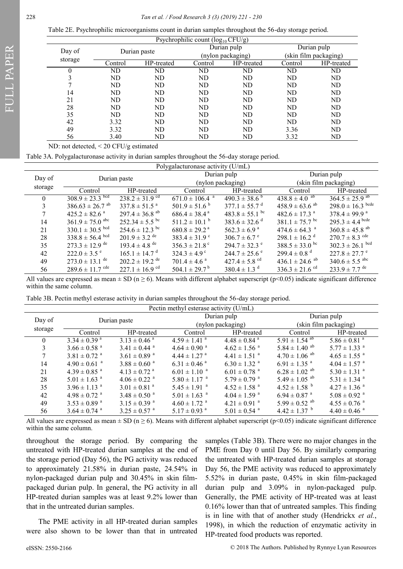Table 2E. Psychrophilic microorganisms count in durian samples throughout the 56-day storage period.

| Psychrophilic count (log <sub>10</sub> CFU/g) |              |            |         |                   |             |                       |  |
|-----------------------------------------------|--------------|------------|---------|-------------------|-------------|-----------------------|--|
| Day of                                        | Durian paste |            |         | Durian pulp       | Durian pulp |                       |  |
|                                               |              |            |         | (nylon packaging) |             | (skin film packaging) |  |
| storage                                       | Control      | HP-treated | Control | HP-treated        | Control     | HP-treated            |  |
| $^{(1)}$                                      | ND           | ND         | ND      | ND                | ND          | ND                    |  |
|                                               | ND           | ND         | ND      | ND                | ND          | ND                    |  |
|                                               | ND           | ND         | ND      | ND                | ND          | ND                    |  |
| 14                                            | ND           | ND         | ND      | ND                | ND          | ND                    |  |
| 21                                            | ND           | ND         | ND      | ND                | ND          | ND                    |  |
| 28                                            | ND           | ND         | ND      | ND                | ND          | ND                    |  |
| 35                                            | ND           | ND         | ND      | ND                | ND          | N <sub>D</sub>        |  |
| 42                                            | 3.32         | ND         | ND      | ND                | ND          | ND                    |  |
| 49                                            | 3.32         | ND         | ND      | ND                | 3.36        | ND                    |  |
| 56                                            | 3.40         | ND         | ND      | ND                | 3.32        | ND                    |  |

ND: not detected, < 20 CFU/g estimated

Table 3A. Polygalacturonase activity in durian samples throughout the 56-day storage period.

| Polygalacturonase activity (U/mL) |                                 |                                |                                |                               |                                |                                |
|-----------------------------------|---------------------------------|--------------------------------|--------------------------------|-------------------------------|--------------------------------|--------------------------------|
| Day of                            |                                 |                                |                                | Durian pulp                   |                                | Durian pulp                    |
|                                   |                                 | Durian paste                   |                                | (nylon packaging)             |                                | (skin film packaging)          |
| storage                           | Control                         | HP-treated                     | Control                        | HP-treated                    | Control                        | HP-treated                     |
| $\theta$                          | $308.9 \pm 23.3$ bcd            | $238.2 \pm 31.9$ <sup>cd</sup> | $671.0 \pm 106.4$ <sup>a</sup> | $490.3 \pm 38.6^{\circ}$      | $438.8 \pm 4.0$ <sup>ab</sup>  | $364.5 \pm 25.9$ <sup>ab</sup> |
| 3                                 | $386.63 \pm 26.7$ <sup>ab</sup> | $337.8 \pm 51.5$ <sup>a</sup>  | $501.9 \pm 51.6^{\circ}$       | $377.1 \pm 55.7$ <sup>d</sup> | $458.9 \pm 63.6$ <sup>ab</sup> | $298.0 \pm 16.3$ bcde          |
|                                   | $425.2 \pm 82.6$ <sup>a</sup>   | $297.4 \pm 36.8$ <sup>ab</sup> | $686.4 \pm 38.4^{\text{a}}$    | $483.8 \pm 55.1$ bc           | $482.6 \pm 17.3$ <sup>a</sup>  | $378.4 \pm 99.9$ <sup>a</sup>  |
| 14                                | $361.9 \pm 75.0$ abc            | $252.34 \pm 5.5$ bc            | $511.2 \pm 10.1^{\circ}$       | $383.6 \pm 32.6$ <sup>d</sup> | $381.1 \pm 75.7$ bc            | $295.3 \pm 4.4$ bcde           |
| 21                                | $330.1 \pm 30.5$ bcd            | $254.6 \pm 12.3$ bc            | $680.8 \pm 29.2$ <sup>a</sup>  | $562.3 \pm 6.9$ <sup>a</sup>  | $474.6 \pm 64.3$ <sup>a</sup>  | $360.8 \pm 45.8$ <sup>ab</sup> |
| 28                                | $338.8 \pm 56.4$ bcd            | $201.9 \pm 3.2$ de             | $383.4 \pm 31.9$ °             | $306.7 \pm 6.7$ °             | $298.1 \pm 16.2$ <sup>d</sup>  | $270.7 \pm 8.3$ <sup>cde</sup> |
| 35                                | $273.3 \pm 12.9$ de             | $193.4 \pm 4.8$ <sup>de</sup>  | $356.3 \pm 21.8$ °             | $294.7 \pm 32.3$ °            | $388.5 \pm 33.0^{\mathrm{bc}}$ | $302.3 \pm 26.1$ bcd           |
| 42                                | $222.0 \pm 3.5$ °               | $165.1 \pm 14.7$ <sup>d</sup>  | $324.3 \pm 4.9$ <sup>c</sup>   | $244.7 \pm 25.6$ °            | $299.4 \pm 0.8$ <sup>d</sup>   | $227.8 \pm 27.7$ °             |
| 49                                | $273.0 \pm 13.1$ <sup>de</sup>  | $202.2 \pm 19.2$ <sup>de</sup> | $701.4 \pm 4.6$ <sup>a</sup>   | $427.4 \pm 5.8$ <sup>cd</sup> | $436.1 \pm 24.6$ <sup>ab</sup> | $340.6 \pm 5.5$ <sup>abc</sup> |
| 56                                | $289.6 \pm 11.7$ <sup>cde</sup> | $227.1 \pm 16.9$ <sup>cd</sup> | $504.1 \pm 29.7^{\mathrm{b}}$  | $380.4 \pm 1.3$ <sup>d</sup>  | $336.3 \pm 21.6$ <sup>cd</sup> | $233.9 \pm 7.7$ <sup>de</sup>  |

All values are expressed as mean  $\pm$  SD (n  $>$  6). Means with different alphabet superscript (p<0.05) indicate significant difference within the same column.

|  | Table 3B. Pectin methyl esterase activity in durian samples throughout the 56-day storage period. |  |  |  |
|--|---------------------------------------------------------------------------------------------------|--|--|--|
|  |                                                                                                   |  |  |  |

| Pectin methyl esterase activity (U/mL) |                              |                              |                              |                              |                               |                              |  |
|----------------------------------------|------------------------------|------------------------------|------------------------------|------------------------------|-------------------------------|------------------------------|--|
| Day of                                 |                              |                              |                              | Durian pulp                  |                               | Durian pulp                  |  |
|                                        |                              | Durian paste                 |                              | (nylon packaging)            |                               | (skin film packaging)        |  |
| storage                                | Control                      | HP-treated                   | Control                      | HP-treated                   | Control                       | HP-treated                   |  |
| 0                                      | $3.34 \pm 0.39$ <sup>a</sup> | $3.13 \pm 0.46$ <sup>a</sup> | $4.59 \pm 1.41$ <sup>a</sup> | $4.48 \pm 0.84$ <sup>a</sup> | $5.91 \pm 1.54$ <sup>ab</sup> | $5.86 \pm 0.81$ <sup>a</sup> |  |
| 3                                      | $3.66 \pm 0.58$ <sup>a</sup> | $3.41 \pm 0.44$ <sup>a</sup> | $4.64 \pm 0.90$ <sup>a</sup> | $4.62 \pm 1.56$ <sup>a</sup> | 5.84 $\pm$ 1.40 <sup>ab</sup> | $5.77 \pm 1.33$ <sup>a</sup> |  |
|                                        | $3.81 \pm 0.72$ <sup>a</sup> | $3.61 \pm 0.89$ <sup>a</sup> | $4.44 \pm 1.27$ <sup>a</sup> | $4.41 \pm 1.51$ <sup>a</sup> | $4.70 \pm 1.06$ <sup>ab</sup> | $4.65 \pm 1.55$ <sup>a</sup> |  |
| 14                                     | $4.90 \pm 0.61$ <sup>a</sup> | $3.88 \pm 0.60$ <sup>a</sup> | $6.31 \pm 0.46$ <sup>a</sup> | $6.30 \pm 1.32$ <sup>a</sup> | $6.91 \pm 1.35$ <sup>a</sup>  | $4.04 \pm 1.57$ <sup>a</sup> |  |
| 21                                     | $4.39 \pm 0.85$ <sup>a</sup> | $4.13 \pm 0.72$ <sup>a</sup> | $6.01 \pm 1.10$ <sup>a</sup> | $6.01 \pm 0.78$ <sup>a</sup> | $6.28 \pm 1.02$ <sup>ab</sup> | $5.30 \pm 1.31$ <sup>a</sup> |  |
| 28                                     | $5.01 \pm 1.63$ <sup>a</sup> | $4.06 \pm 0.22$ <sup>a</sup> | $5.80 \pm 1.17$ <sup>a</sup> | $5.79 \pm 0.79$ <sup>a</sup> | 5.49 $\pm$ 1.05 <sup>ab</sup> | $5.31 \pm 1.34$ <sup>a</sup> |  |
| 35                                     | $3.96 \pm 1.13$ <sup>a</sup> | $3.01 \pm 0.81$ <sup>a</sup> | $5.45 \pm 1.91$ <sup>a</sup> | $4.52 \pm 1.58$ <sup>a</sup> | $4.52 \pm 1.58$ b             | $4.27 \pm 1.36$ <sup>a</sup> |  |
| 42                                     | $4.98 \pm 0.72$ <sup>a</sup> | $3.48 \pm 0.50$ <sup>a</sup> | $5.01 \pm 1.63$ <sup>a</sup> | $4.04 \pm 1.59$ <sup>a</sup> | $6.94 \pm 0.87$ <sup>a</sup>  | $5.08 \pm 0.92$ <sup>a</sup> |  |
| 49                                     | $3.53 \pm 0.89$ <sup>a</sup> | $3.15 \pm 0.39$ <sup>a</sup> | $4.60 \pm 1.72$ <sup>a</sup> | $4.21 \pm 0.91$ <sup>a</sup> | $5.99 \pm 0.52$ <sup>ab</sup> | $4.55 \pm 0.76$ <sup>a</sup> |  |
| 56                                     | $3.64 \pm 0.74$ <sup>a</sup> | $3.25 \pm 0.57$ <sup>a</sup> | $5.17 \pm 0.93$ <sup>a</sup> | $5.01 \pm 0.54$ <sup>a</sup> | $4.42 \pm 1.37$ <sup>b</sup>  | $4.40 \pm 0.46$ <sup>a</sup> |  |

All values are expressed as mean  $\pm$  SD (n  $\geq$  6). Means with different alphabet superscript (p<0.05) indicate significant difference within the same column.

throughout the storage period. By comparing the untreated with HP-treated durian samples at the end of the storage period (Day 56), the PG activity was reduced to approximately 21.58% in durian paste, 24.54% in nylon-packaged durian pulp and 30.45% in skin filmpackaged durian pulp. In general, the PG activity in all HP-treated durian samples was at least 9.2% lower than that in the untreated durian samples.

The PME activity in all HP-treated durian samples were also shown to be lower than that in untreated

samples (Table 3B). There were no major changes in the PME from Day 0 until Day 56. By similarly comparing the untreated with HP-treated durian samples at storage Day 56, the PME activity was reduced to approximately 5.52% in durian paste, 0.45% in skin film-packaged durian pulp and 3.09% in nylon-packaged pulp. Generally, the PME activity of HP-treated was at least 0.16% lower than that of untreated samples. This finding is in line with that of another study (Hendrickx *et al.*, 1998), in which the reduction of enzymatic activity in HP-treated food products was reported.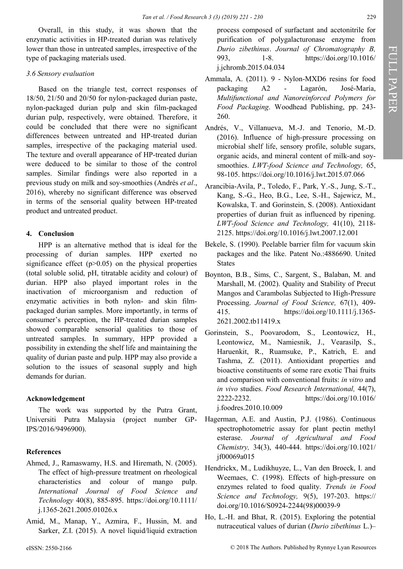Overall, in this study, it was shown that the enzymatic activities in HP-treated durian was relatively lower than those in untreated samples, irrespective of the type of packaging materials used.

# *3.6 Sensory evaluation*

Based on the triangle test, correct responses of 18/50, 21/50 and 20/50 for nylon-packaged durian paste, nylon-packaged durian pulp and skin film-packaged durian pulp, respectively, were obtained. Therefore, it could be concluded that there were no significant differences between untreated and HP-treated durian samples, irrespective of the packaging material used. The texture and overall appearance of HP-treated durian were deduced to be similar to those of the control samples. Similar findings were also reported in a previous study on milk and soy-smoothies (Andrés *et al*., 2016), whereby no significant difference was observed in terms of the sensorial quality between HP-treated product and untreated product.

# **4. Conclusion**

HPP is an alternative method that is ideal for the processing of durian samples. HPP exerted no significance effect  $(p>0.05)$  on the physical properties (total soluble solid, pH, titratable acidity and colour) of durian. HPP also played important roles in the inactivation of microorganism and reduction of enzymatic activities in both nylon- and skin filmpackaged durian samples. More importantly, in terms of consumer's perception, the HP-treated durian samples showed comparable sensorial qualities to those of untreated samples. In summary, HPP provided a possibility in extending the shelf life and maintaining the quality of durian paste and pulp. HPP may also provide a solution to the issues of seasonal supply and high demands for durian.

# **Acknowledgement**

The work was supported by the Putra Grant, Universiti Putra Malaysia (project number GP-IPS/2016/9496900).

# **References**

- Ahmed, J., Ramaswamy, H.S. and Hiremath, N. (2005). The effect of high-pressure treatment on rheological characteristics and colour of mango pulp. *International Journal of Food Science and Technology* 40(8), 885-895. [https://doi.org/10.1111/](https://doi.org/10.1111/j.1365-2621.2005.01026.x) j.1365-[2621.2005.01026.x](https://doi.org/10.1111/j.1365-2621.2005.01026.x)
- Amid, M., Manap, Y., Azmira, F., Hussin, M. and Sarker, Z.I. (2015). A novel liquid/liquid extraction

process composed of surfactant and acetonitrile for purification of polygalacturonase enzyme from *Durio zibethinus*. *Journal of Chromatography B,* 993, 1-8. [https://doi.org/10.1016/](https://doi.org/10.1016/j.jchromb.2015.04.034) [j.jchromb.2015.04.034](https://doi.org/10.1016/j.jchromb.2015.04.034)

- Ammala, A. (2011). 9 Nylon-MXD6 resins for food packaging A2 - Lagarón, José-María, *Multifunctional and Nanoreinforced Polymers for Food Packaging*. Woodhead Publishing, pp. 243- 260.
- Andrés, V., Villanueva, M.-J. and Tenorio, M.-D. (2016). Influence of high-pressure processing on microbial shelf life, sensory profile, soluble sugars, organic acids, and mineral content of milk-and soysmoothies. *LWT-food Science and Technology,* 65, 98-105.<https://doi.org/10.1016/j.lwt.2015.07.066>
- Arancibia-Avila, P., Toledo, F., Park, Y.-S., Jung, S.-T., Kang, S.-G., Heo, B.G., Lee, S.-H., Sajewicz, M., Kowalska, T. and Gorinstein, S. (2008). Antioxidant properties of durian fruit as influenced by ripening. *LWT-food Science and Technology,* 41(10), 2118- 2125.<https://doi.org/10.1016/j.lwt.2007.12.001>
- Bekele, S. (1990). Peelable barrier film for vacuum skin packages and the like. Patent No.:4886690. United States
- Boynton, B.B., Sims, C., Sargent, S., Balaban, M. and Marshall, M. (2002). Quality and Stability of Precut Mangos and Carambolas Subjected to High‐Pressure Processing. *Journal of Food Science,* 67(1), 409- 415. [https://doi.org/10.1111/j.1365](https://doi.org/10.1111/j.1365-2621.2002.tb11419.x)- [2621.2002.tb11419.x](https://doi.org/10.1111/j.1365-2621.2002.tb11419.x)
- Gorinstein, S., Poovarodom, S., Leontowicz, H., Leontowicz, M., Namiesnik, J., Vearasilp, S., Haruenkit, R., Ruamsuke, P., Katrich, E. and Tashma, Z. (2011). Antioxidant properties and bioactive constituents of some rare exotic Thai fruits and comparison with conventional fruits: *in vitro* and *in vivo* studies. *Food Research International,* 44(7), 2222-2232. [https://doi.org/10.1016/](https://doi.org/10.1016/j.foodres.2010.10.009) [j.foodres.2010.10.009](https://doi.org/10.1016/j.foodres.2010.10.009)
- Hagerman, A.E. and Austin, P.J. (1986). Continuous spectrophotometric assay for plant pectin methyl esterase. *Journal of Agricultural and Food Chemistry,* 34(3), 440-444. [https://doi.org/10.1021/](https://doi.org/10.1021/jf00069a015) [jf00069a015](https://doi.org/10.1021/jf00069a015)
- Hendrickx, M., Ludikhuyze, L., Van den Broeck, I. and Weemaes, C. (1998). Effects of high-pressure on enzymes related to food quality. *Trends in Food Science and Technology,* 9(5), 197-203. [https://](https://doi.org/10.1016/S0924-2244(98)00039-9) [doi.org/10.1016/S0924](https://doi.org/10.1016/S0924-2244(98)00039-9)-2244(98)00039-9
- Ho, L.-H. and Bhat, R. (2015). Exploring the potential nutraceutical values of durian (*Durio zibethinus* L.)–